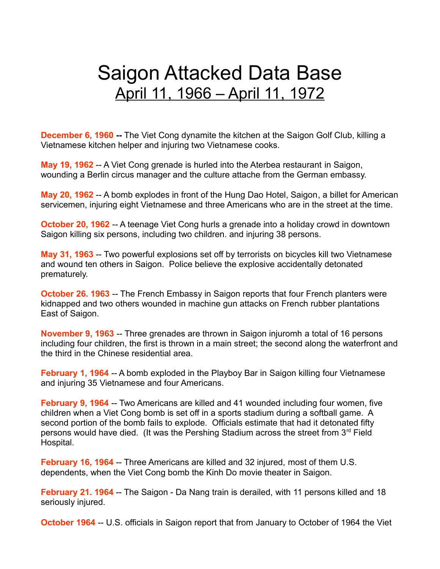# Saigon Attacked Data Base April 11, 1966 – April 11, 1972

**December 6, 1960** -- The Viet Cong dynamite the kitchen at the Saigon Golf Club, killing a Vietnamese kitchen helper and injuring two Vietnamese cooks.

**May 19, 1962** -- A Viet Cong grenade is hurled into the Aterbea restaurant in Saigon, wounding a Berlin circus manager and the culture attache from the German embassy.

**May 20, 1962** -- A bomb explodes in front of the Hung Dao Hotel, Saigon, a billet for American servicemen, injuring eight Vietnamese and three Americans who are in the street at the time.

**October 20, 1962** -- A teenage Viet Cong hurls a grenade into a holiday crowd in downtown Saigon killing six persons, including two children. and injuring 38 persons.

**May 31, 1963** -- Two powerful explosions set off by terrorists on bicycles kill two Vietnamese and wound ten others in Saigon. Police believe the explosive accidentally detonated prematurely.

**October 26. 1963** -- The French Embassy in Saigon reports that four French planters were kidnapped and two others wounded in machine gun attacks on French rubber plantations East of Saigon.

**November 9, 1963** -- Three grenades are thrown in Saigon injuromh a total of 16 persons including four children, the first is thrown in a main street; the second along the waterfront and the third in the Chinese residential area.

**February 1, 1964** -- A bomb exploded in the Playboy Bar in Saigon killing four Vietnamese and injuring 35 Vietnamese and four Americans.

**February 9, 1964 -- Two Americans are killed and 41 wounded including four women, five** children when a Viet Cong bomb is set off in a sports stadium during a softball game. A second portion of the bomb fails to explode. Officials estimate that had it detonated fifty persons would have died. (It was the Pershing Stadium across the street from 3<sup>rd</sup> Field Hospital.

**February 16, 1964** -- Three Americans are killed and 32 injured, most of them U.S. dependents, when the Viet Cong bomb the Kinh Do movie theater in Saigon.

**February 21. 1964** -- The Saigon - Da Nang train is derailed, with 11 persons killed and 18 seriously injured.

**October 1964** -- U.S. officials in Saigon report that from January to October of 1964 the Viet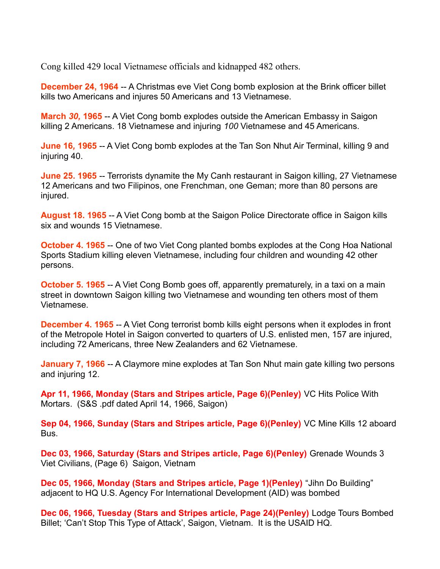Cong killed 429 local Vietnamese officials and kidnapped 482 others.

**December 24, 1964** -- A Christmas eve Viet Cong bomb explosion at the Brink officer billet kills two Americans and injures 50 Americans and 13 Vietnamese.

**March** *30,* **1965** -- A Viet Cong bomb explodes outside the American Embassy in Saigon killing 2 Americans. 18 Vietnamese and injuring *100* Vietnamese and 45 Americans.

**June 16***,* **1965** -- A Viet Cong bomb explodes at the Tan Son Nhut Air Terminal, killing 9 and injuring 40.

**June 25. 1965** -- Terrorists dynamite the My Canh restaurant in Saigon killing, 27 Vietnamese 12 Americans and two Filipinos, one Frenchman, one Geman; more than 80 persons are injured.

**August 18. 1965** -- A Viet Cong bomb at the Saigon Police Directorate office in Saigon kills six and wounds 15 Vietnamese.

**October 4. 1965** -- One of two Viet Cong planted bombs explodes at the Cong Hoa National Sports Stadium killing eleven Vietnamese, including four children and wounding 42 other persons.

**October 5. 1965** -- A Viet Cong Bomb goes off, apparently prematurely, in a taxi on a main street in downtown Saigon killing two Vietnamese and wounding ten others most of them Vietnamese.

**December 4. 1965** -- A Viet Cong terrorist bomb kills eight persons when it explodes in front of the Metropole Hotel in Saigon converted to quarters of U.S. enlisted men, 157 are injured, including 72 Americans, three New Zealanders and 62 Vietnamese.

**January 7, 1966** -- A Claymore mine explodes at Tan Son Nhut main gate killing two persons and injuring 12.

**Apr 11, 1966, Monday (Stars and Stripes article, Page 6)(Penley)** VC Hits Police With Mortars. (S&S .pdf dated April 14, 1966, Saigon)

**Sep 04, 1966, Sunday (Stars and Stripes article, Page 6)(Penley)** VC Mine Kills 12 aboard Bus.

**Dec 03, 1966, Saturday (Stars and Stripes article, Page 6)(Penley)** Grenade Wounds 3 Viet Civilians, (Page 6) Saigon, Vietnam

**Dec 05, 1966, Monday (Stars and Stripes article, Page 1)(Penley)** "Jihn Do Building" adjacent to HQ U.S. Agency For International Development (AID) was bombed

**Dec 06, 1966, Tuesday (Stars and Stripes article, Page 24)(Penley)** Lodge Tours Bombed Billet; 'Can't Stop This Type of Attack', Saigon, Vietnam. It is the USAID HQ.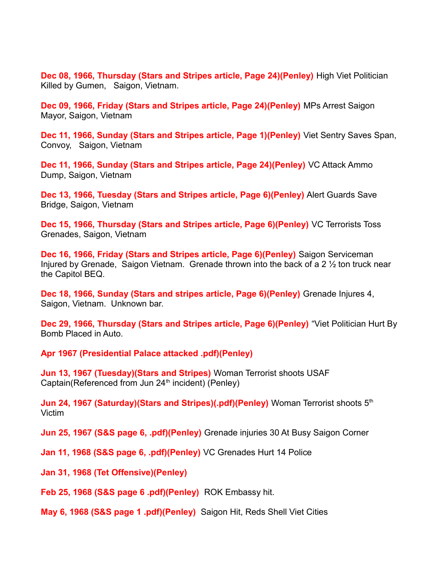**Dec 08, 1966, Thursday (Stars and Stripes article, Page 24)(Penley)** High Viet Politician Killed by Gumen, Saigon, Vietnam.

**Dec 09, 1966, Friday (Stars and Stripes article, Page 24)(Penley)** MPs Arrest Saigon Mayor, Saigon, Vietnam

**Dec 11, 1966, Sunday (Stars and Stripes article, Page 1)(Penley)** Viet Sentry Saves Span, Convoy, Saigon, Vietnam

**Dec 11, 1966, Sunday (Stars and Stripes article, Page 24)(Penley)** VC Attack Ammo Dump, Saigon, Vietnam

**Dec 13, 1966, Tuesday (Stars and Stripes article, Page 6)(Penley)** Alert Guards Save Bridge, Saigon, Vietnam

**Dec 15, 1966, Thursday (Stars and Stripes article, Page 6)(Penley)** VC Terrorists Toss Grenades, Saigon, Vietnam

**Dec 16, 1966, Friday (Stars and Stripes article, Page 6)(Penley)** Saigon Serviceman Injured by Grenade, Saigon Vietnam. Grenade thrown into the back of a 2 ½ ton truck near the Capitol BEQ.

**Dec 18, 1966, Sunday (Stars and stripes article, Page 6)(Penley)** Grenade Injures 4, Saigon, Vietnam. Unknown bar.

**Dec 29, 1966, Thursday (Stars and Stripes article, Page 6)(Penley)** "Viet Politician Hurt By Bomb Placed in Auto.

**Apr 1967 (Presidential Palace attacked .pdf)(Penley)**

**Jun 13, 1967 (Tuesday)(Stars and Stripes)** Woman Terrorist shoots USAF Captain(Referenced from Jun  $24<sup>th</sup>$  incident) (Penley)

**Jun 24, 1967 (Saturday)(Stars and Stripes)(.pdf)(Penley)** Woman Terrorist shoots 5<sup>th</sup> Victim

**Jun 25, 1967 (S&S page 6, .pdf)(Penley)** Grenade injuries 30 At Busy Saigon Corner

**Jan 11, 1968 (S&S page 6, .pdf)(Penley)** VC Grenades Hurt 14 Police

**Jan 31, 1968 (Tet Offensive)(Penley)**

**Feb 25, 1968 (S&S page 6 .pdf)(Penley)** ROK Embassy hit.

**May 6, 1968 (S&S page 1 .pdf)(Penley)** Saigon Hit, Reds Shell Viet Cities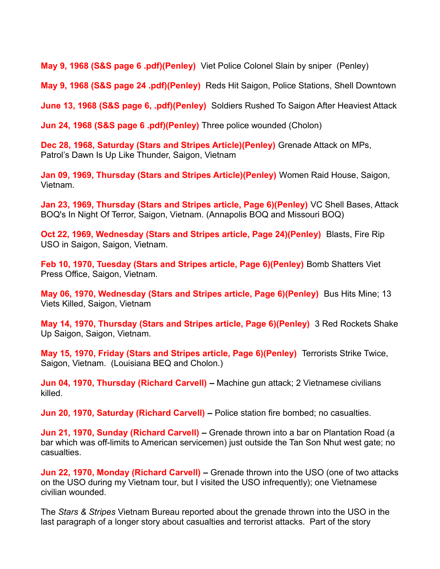**May 9, 1968 (S&S page 6 .pdf)(Penley)** Viet Police Colonel Slain by sniper (Penley)

**May 9, 1968 (S&S page 24 .pdf)(Penley)** Reds Hit Saigon, Police Stations, Shell Downtown

**June 13, 1968 (S&S page 6, .pdf)(Penley)** Soldiers Rushed To Saigon After Heaviest Attack

**Jun 24, 1968 (S&S page 6 .pdf)(Penley)** Three police wounded (Cholon)

**Dec 28, 1968, Saturday (Stars and Stripes Article)(Penley)** Grenade Attack on MPs, Patrol's Dawn Is Up Like Thunder, Saigon, Vietnam

**Jan 09, 1969, Thursday (Stars and Stripes Article)(Penley)** Women Raid House, Saigon, Vietnam.

**Jan 23, 1969, Thursday (Stars and Stripes article, Page 6)(Penley)** VC Shell Bases, Attack BOQ's In Night Of Terror, Saigon, Vietnam. (Annapolis BOQ and Missouri BOQ)

**Oct 22, 1969, Wednesday (Stars and Stripes article, Page 24)(Penley)** Blasts, Fire Rip USO in Saigon, Saigon, Vietnam.

**Feb 10, 1970, Tuesday (Stars and Stripes article, Page 6)(Penley)** Bomb Shatters Viet Press Office, Saigon, Vietnam.

**May 06, 1970, Wednesday (Stars and Stripes article, Page 6)(Penley)** Bus Hits Mine; 13 Viets Killed, Saigon, Vietnam

**May 14, 1970, Thursday (Stars and Stripes article, Page 6)(Penley)** 3 Red Rockets Shake Up Saigon, Saigon, Vietnam.

**May 15, 1970, Friday (Stars and Stripes article, Page 6)(Penley)** Terrorists Strike Twice, Saigon, Vietnam. (Louisiana BEQ and Cholon.)

**Jun 04, 1970, Thursday (Richard Carvell) –** Machine gun attack; 2 Vietnamese civilians killed.

**Jun 20, 1970, Saturday (Richard Carvell) –** Police station fire bombed; no casualties.

**Jun 21, 1970, Sunday (Richard Carvell) –** Grenade thrown into a bar on Plantation Road (a bar which was off-limits to American servicemen) just outside the Tan Son Nhut west gate; no casualties.

**Jun 22, 1970, Monday (Richard Carvell) –** Grenade thrown into the USO (one of two attacks on the USO during my Vietnam tour, but I visited the USO infrequently); one Vietnamese civilian wounded.

The *Stars & Stripes* Vietnam Bureau reported about the grenade thrown into the USO in the last paragraph of a longer story about casualties and terrorist attacks. Part of the story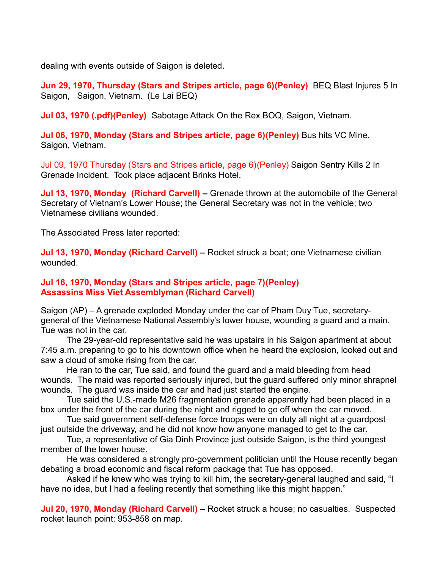dealing with events outside of Saigon is deleted.

**Jun 29, 1970, Thursday (Stars and Stripes article, page 6)(Penley)** BEQ Blast Injures 5 In Saigon, Saigon, Vietnam. (Le Lai BEQ)

**Jul 03, 1970 (.pdf)(Penley)** Sabotage Attack On the Rex BOQ, Saigon, Vietnam.

**Jul 06, 1970, Monday (Stars and Stripes article, page 6)(Penley)** Bus hits VC Mine, Saigon, Vietnam.

Jul 09, 1970 Thursday (Stars and Stripes article, page 6)(Penley) Saigon Sentry Kills 2 In Grenade Incident. Took place adjacent Brinks Hotel.

**Jul 13, 1970, Monday (Richard Carvell) –** Grenade thrown at the automobile of the General Secretary of Vietnam's Lower House; the General Secretary was not in the vehicle; two Vietnamese civilians wounded.

The Associated Press later reported:

**Jul 13, 1970, Monday (Richard Carvell) –** Rocket struck a boat; one Vietnamese civilian wounded.

#### **Jul 16, 1970, Monday (Stars and Stripes article, page 7)(Penley) Assassins Miss Viet Assemblyman (Richard Carvell)**

Saigon (AP) – A grenade exploded Monday under the car of Pham Duy Tue, secretarygeneral of the Vietnamese National Assembly's lower house, wounding a guard and a main. Tue was not in the car.

The 29-year-old representative said he was upstairs in his Saigon apartment at about 7:45 a.m. preparing to go to his downtown office when he heard the explosion, looked out and saw a cloud of smoke rising from the car.

He ran to the car, Tue said, and found the guard and a maid bleeding from head wounds. The maid was reported seriously injured, but the guard suffered only minor shrapnel wounds. The guard was inside the car and had just started the engine.

Tue said the U.S.-made M26 fragmentation grenade apparently had been placed in a box under the front of the car during the night and rigged to go off when the car moved.

Tue said government self-defense force troops were on duty all night at a guardpost just outside the driveway, and he did not know how anyone managed to get to the car.

Tue, a representative of Gia Dinh Province just outside Saigon, is the third youngest member of the lower house.

He was considered a strongly pro-government politician until the House recently began debating a broad economic and fiscal reform package that Tue has opposed.

Asked if he knew who was trying to kill him, the secretary-general laughed and said, "I have no idea, but I had a feeling recently that something like this might happen."

**Jul 20, 1970, Monday (Richard Carvell) –** Rocket struck a house; no casualties. Suspected rocket launch point: 953-858 on map.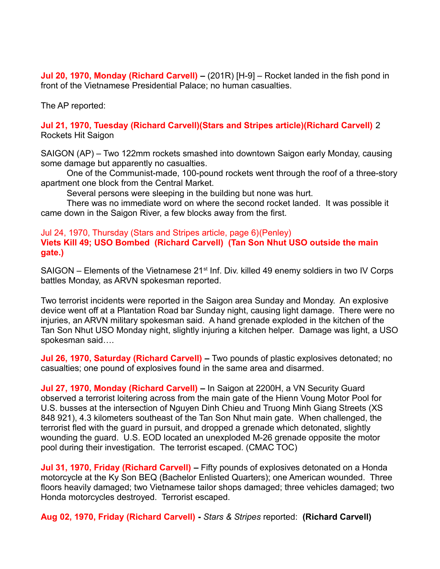**Jul 20, 1970, Monday (Richard Carvell) –** (201R) [H-9] – Rocket landed in the fish pond in front of the Vietnamese Presidential Palace; no human casualties.

The AP reported:

### **Jul 21, 1970, Tuesday (Richard Carvell)(Stars and Stripes article)(Richard Carvell)** 2 Rockets Hit Saigon

SAIGON (AP) – Two 122mm rockets smashed into downtown Saigon early Monday, causing some damage but apparently no casualties.

One of the Communist-made, 100-pound rockets went through the roof of a three-story apartment one block from the Central Market.

Several persons were sleeping in the building but none was hurt.

There was no immediate word on where the second rocket landed. It was possible it came down in the Saigon River, a few blocks away from the first.

### Jul 24, 1970, Thursday (Stars and Stripes article, page 6)(Penley) **Viets Kill 49; USO Bombed (Richard Carvell) (Tan Son Nhut USO outside the main gate.)**

SAIGON – Elements of the Vietnamese  $21<sup>st</sup>$  Inf. Div. killed 49 enemy soldiers in two IV Corps battles Monday, as ARVN spokesman reported.

Two terrorist incidents were reported in the Saigon area Sunday and Monday. An explosive device went off at a Plantation Road bar Sunday night, causing light damage. There were no injuries, an ARVN military spokesman said. A hand grenade exploded in the kitchen of the Tan Son Nhut USO Monday night, slightly injuring a kitchen helper. Damage was light, a USO spokesman said….

**Jul 26, 1970, Saturday (Richard Carvell) –** Two pounds of plastic explosives detonated; no casualties; one pound of explosives found in the same area and disarmed.

**Jul 27, 1970, Monday (Richard Carvell) –** In Saigon at 2200H, a VN Security Guard observed a terrorist loitering across from the main gate of the Hienn Voung Motor Pool for U.S. busses at the intersection of Nguyen Dinh Chieu and Truong Minh Giang Streets (XS 848 921), 4.3 kilometers southeast of the Tan Son Nhut main gate. When challenged, the terrorist fled with the guard in pursuit, and dropped a grenade which detonated, slightly wounding the guard. U.S. EOD located an unexploded M-26 grenade opposite the motor pool during their investigation. The terrorist escaped. (CMAC TOC)

**Jul 31, 1970, Friday (Richard Carvell) –** Fifty pounds of explosives detonated on a Honda motorcycle at the Ky Son BEQ (Bachelor Enlisted Quarters); one American wounded. Three floors heavily damaged; two Vietnamese tailor shops damaged; three vehicles damaged; two Honda motorcycles destroyed. Terrorist escaped.

**Aug 02, 1970, Friday (Richard Carvell) -** *Stars & Stripes* reported: **(Richard Carvell)**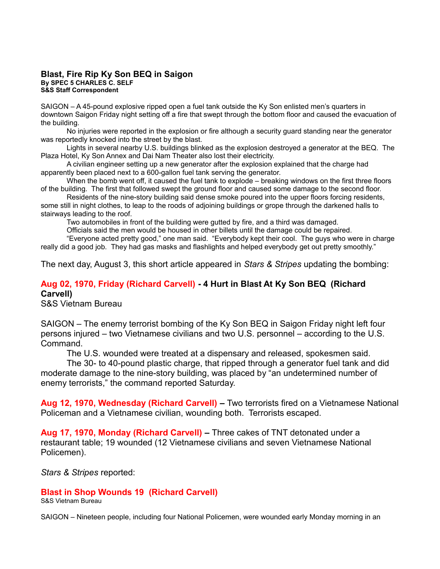#### **Blast, Fire Rip Ky Son BEQ in Saigon By SPEC 5 CHARLES C. SELF S&S Staff Correspondent**

SAIGON – A 45-pound explosive ripped open a fuel tank outside the Ky Son enlisted men's quarters in downtown Saigon Friday night setting off a fire that swept through the bottom floor and caused the evacuation of the building.

No injuries were reported in the explosion or fire although a security guard standing near the generator was reportedly knocked into the street by the blast.

Lights in several nearby U.S. buildings blinked as the explosion destroyed a generator at the BEQ. The Plaza Hotel, Ky Son Annex and Dai Nam Theater also lost their electricity.

A civilian engineer setting up a new generator after the explosion explained that the charge had apparently been placed next to a 600-gallon fuel tank serving the generator.

When the bomb went off, it caused the fuel tank to explode – breaking windows on the first three floors of the building. The first that followed swept the ground floor and caused some damage to the second floor.

Residents of the nine-story building said dense smoke poured into the upper floors forcing residents, some still in night clothes, to leap to the roods of adjoining buildings or grope through the darkened halls to stairways leading to the roof.

Two automobiles in front of the building were gutted by fire, and a third was damaged.

Officials said the men would be housed in other billets until the damage could be repaired.

"Everyone acted pretty good," one man said. "Everybody kept their cool. The guys who were in charge really did a good job. They had gas masks and flashlights and helped everybody get out pretty smoothly."

The next day, August 3, this short article appeared in *Stars & Stripes* updating the bombing:

## **Aug 02, 1970, Friday (Richard Carvell) - 4 Hurt in Blast At Ky Son BEQ (Richard Carvell)**

S&S Vietnam Bureau

SAIGON – The enemy terrorist bombing of the Ky Son BEQ in Saigon Friday night left four persons injured – two Vietnamese civilians and two U.S. personnel – according to the U.S. Command.

The U.S. wounded were treated at a dispensary and released, spokesmen said.

The 30- to 40-pound plastic charge, that ripped through a generator fuel tank and did moderate damage to the nine-story building, was placed by "an undetermined number of enemy terrorists," the command reported Saturday.

**Aug 12, 1970, Wednesday (Richard Carvell) –** Two terrorists fired on a Vietnamese National Policeman and a Vietnamese civilian, wounding both. Terrorists escaped.

**Aug 17, 1970, Monday (Richard Carvell) –** Three cakes of TNT detonated under a restaurant table; 19 wounded (12 Vietnamese civilians and seven Vietnamese National Policemen).

*Stars & Stripes* reported:

#### **Blast in Shop Wounds 19 (Richard Carvell)**

S&S Vietnam Bureau

SAIGON – Nineteen people, including four National Policemen, were wounded early Monday morning in an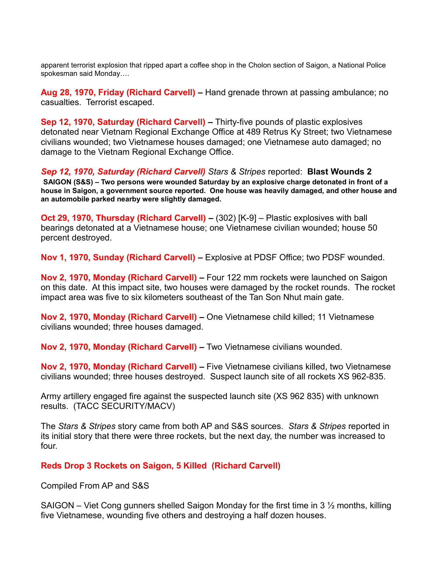apparent terrorist explosion that ripped apart a coffee shop in the Cholon section of Saigon, a National Police spokesman said Monday….

**Aug 28, 1970, Friday (Richard Carvell) –** Hand grenade thrown at passing ambulance; no casualties. Terrorist escaped.

**Sep 12, 1970, Saturday (Richard Carvell) –** Thirty-five pounds of plastic explosives detonated near Vietnam Regional Exchange Office at 489 Retrus Ky Street; two Vietnamese civilians wounded; two Vietnamese houses damaged; one Vietnamese auto damaged; no damage to the Vietnam Regional Exchange Office.

### *Sep 12, 1970, Saturday (Richard Carvell) Stars & Stripes* reported: **Blast Wounds 2**

**SAIGON (S&S) – Two persons were wounded Saturday by an explosive charge detonated in front of a house in Saigon, a government source reported. One house was heavily damaged, and other house and an automobile parked nearby were slightly damaged.**

**Oct 29, 1970, Thursday (Richard Carvell) –** (302) [K-9] – Plastic explosives with ball bearings detonated at a Vietnamese house; one Vietnamese civilian wounded; house 50 percent destroyed.

**Nov 1, 1970, Sunday (Richard Carvell) –** Explosive at PDSF Office; two PDSF wounded.

**Nov 2, 1970, Monday (Richard Carvell) –** Four 122 mm rockets were launched on Saigon on this date. At this impact site, two houses were damaged by the rocket rounds. The rocket impact area was five to six kilometers southeast of the Tan Son Nhut main gate.

**Nov 2, 1970, Monday (Richard Carvell) –** One Vietnamese child killed; 11 Vietnamese civilians wounded; three houses damaged.

**Nov 2, 1970, Monday (Richard Carvell) –** Two Vietnamese civilians wounded.

**Nov 2, 1970, Monday (Richard Carvell) –** Five Vietnamese civilians killed, two Vietnamese civilians wounded; three houses destroyed. Suspect launch site of all rockets XS 962-835.

Army artillery engaged fire against the suspected launch site (XS 962 835) with unknown results. (TACC SECURITY/MACV)

The *Stars & Stripes* story came from both AP and S&S sources. *Stars & Stripes* reported in its initial story that there were three rockets, but the next day, the number was increased to four.

#### **Reds Drop 3 Rockets on Saigon, 5 Killed (Richard Carvell)**

Compiled From AP and S&S

SAIGON – Viet Cong gunners shelled Saigon Monday for the first time in 3  $\frac{1}{2}$  months, killing five Vietnamese, wounding five others and destroying a half dozen houses.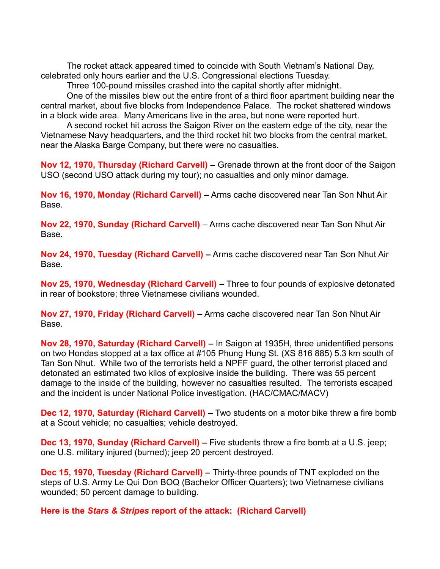The rocket attack appeared timed to coincide with South Vietnam's National Day, celebrated only hours earlier and the U.S. Congressional elections Tuesday.

Three 100-pound missiles crashed into the capital shortly after midnight.

One of the missiles blew out the entire front of a third floor apartment building near the central market, about five blocks from Independence Palace. The rocket shattered windows in a block wide area. Many Americans live in the area, but none were reported hurt.

A second rocket hit across the Saigon River on the eastern edge of the city, near the Vietnamese Navy headquarters, and the third rocket hit two blocks from the central market, near the Alaska Barge Company, but there were no casualties.

**Nov 12, 1970, Thursday (Richard Carvell) –** Grenade thrown at the front door of the Saigon USO (second USO attack during my tour); no casualties and only minor damage.

**Nov 16, 1970, Monday (Richard Carvell) –** Arms cache discovered near Tan Son Nhut Air Base.

**Nov 22, 1970, Sunday (Richard Carvell)** – Arms cache discovered near Tan Son Nhut Air Base.

**Nov 24, 1970, Tuesday (Richard Carvell) –** Arms cache discovered near Tan Son Nhut Air Base.

**Nov 25, 1970, Wednesday (Richard Carvell) –** Three to four pounds of explosive detonated in rear of bookstore; three Vietnamese civilians wounded.

**Nov 27, 1970, Friday (Richard Carvell) –** Arms cache discovered near Tan Son Nhut Air Base.

**Nov 28, 1970, Saturday (Richard Carvell) –** In Saigon at 1935H, three unidentified persons on two Hondas stopped at a tax office at #105 Phung Hung St. (XS 816 885) 5.3 km south of Tan Son Nhut. While two of the terrorists held a NPFF guard, the other terrorist placed and detonated an estimated two kilos of explosive inside the building. There was 55 percent damage to the inside of the building, however no casualties resulted. The terrorists escaped and the incident is under National Police investigation. (HAC/CMAC/MACV)

**Dec 12, 1970, Saturday (Richard Carvell) –** Two students on a motor bike threw a fire bomb at a Scout vehicle; no casualties; vehicle destroyed.

**Dec 13, 1970, Sunday (Richard Carvell) –** Five students threw a fire bomb at a U.S. jeep; one U.S. military injured (burned); jeep 20 percent destroyed.

**Dec 15, 1970, Tuesday (Richard Carvell) –** Thirty-three pounds of TNT exploded on the steps of U.S. Army Le Qui Don BOQ (Bachelor Officer Quarters); two Vietnamese civilians wounded; 50 percent damage to building.

**Here is the** *Stars & Stripes* **report of the attack: (Richard Carvell)**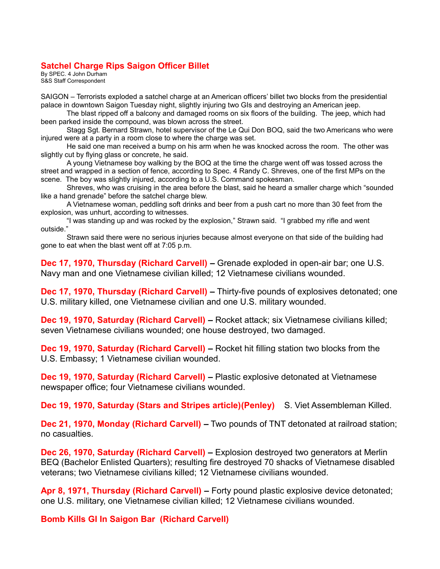#### **Satchel Charge Rips Saigon Officer Billet**

By SPEC. 4 John Durham S&S Staff Correspondent

SAIGON – Terrorists exploded a satchel charge at an American officers' billet two blocks from the presidential palace in downtown Saigon Tuesday night, slightly injuring two GIs and destroying an American jeep.

The blast ripped off a balcony and damaged rooms on six floors of the building. The jeep, which had been parked inside the compound, was blown across the street.

Stagg Sgt. Bernard Strawn, hotel supervisor of the Le Qui Don BOQ, said the two Americans who were injured were at a party in a room close to where the charge was set.

He said one man received a bump on his arm when he was knocked across the room. The other was slightly cut by flying glass or concrete, he said.

A young Vietnamese boy walking by the BOQ at the time the charge went off was tossed across the street and wrapped in a section of fence, according to Spec. 4 Randy C. Shreves, one of the first MPs on the scene. The boy was slightly injured, according to a U.S. Command spokesman.

Shreves, who was cruising in the area before the blast, said he heard a smaller charge which "sounded like a hand grenade" before the satchel charge blew.

A Vietnamese woman, peddling soft drinks and beer from a push cart no more than 30 feet from the explosion, was unhurt, according to witnesses.

"I was standing up and was rocked by the explosion," Strawn said. "I grabbed my rifle and went outside."

Strawn said there were no serious injuries because almost everyone on that side of the building had gone to eat when the blast went off at 7:05 p.m.

**Dec 17, 1970, Thursday (Richard Carvell) –** Grenade exploded in open-air bar; one U.S. Navy man and one Vietnamese civilian killed; 12 Vietnamese civilians wounded.

**Dec 17, 1970, Thursday (Richard Carvell) –** Thirty-five pounds of explosives detonated; one U.S. military killed, one Vietnamese civilian and one U.S. military wounded.

**Dec 19, 1970, Saturday (Richard Carvell) –** Rocket attack; six Vietnamese civilians killed; seven Vietnamese civilians wounded; one house destroyed, two damaged.

**Dec 19, 1970, Saturday (Richard Carvell) –** Rocket hit filling station two blocks from the U.S. Embassy; 1 Vietnamese civilian wounded.

**Dec 19, 1970, Saturday (Richard Carvell) –** Plastic explosive detonated at Vietnamese newspaper office; four Vietnamese civilians wounded.

Dec 19, 1970, Saturday (Stars and Stripes article) (Penley) S. Viet Assembleman Killed.

**Dec 21, 1970, Monday (Richard Carvell) –** Two pounds of TNT detonated at railroad station; no casualties.

**Dec 26, 1970, Saturday (Richard Carvell)** – Explosion destroyed two generators at Merlin BEQ (Bachelor Enlisted Quarters); resulting fire destroyed 70 shacks of Vietnamese disabled veterans; two Vietnamese civilians killed; 12 Vietnamese civilians wounded.

**Apr 8, 1971, Thursday (Richard Carvell) –** Forty pound plastic explosive device detonated; one U.S. military, one Vietnamese civilian killed; 12 Vietnamese civilians wounded.

**Bomb Kills GI In Saigon Bar (Richard Carvell)**